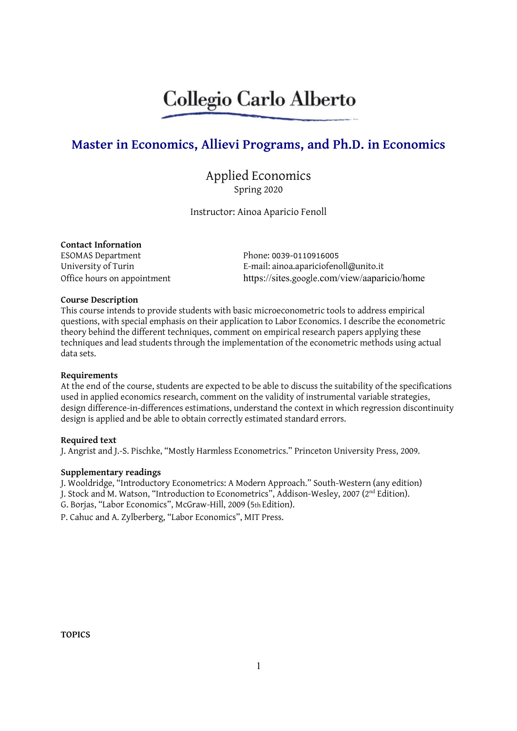# Collegio Carlo Alberto

## Master in Economics, Allievi Programs, and Ph.D. in Economics

### Applied Economics Spring 2020

Instructor: Ainoa Aparicio Fenoll

#### Contact Infornation

ESOMAS Department Phone: 0039-0110916005

University of Turin **E-mail:** ainoa.apariciofenoll@unito.it Office hours on appointment https://sites.google.com/view/aaparicio/home

#### Course Description

This course intends to provide students with basic microeconometric tools to address empirical questions, with special emphasis on their application to Labor Economics. I describe the econometric theory behind the different techniques, comment on empirical research papers applying these techniques and lead students through the implementation of the econometric methods using actual data sets.

#### Requirements

At the end of the course, students are expected to be able to discuss the suitability of the specifications used in applied economics research, comment on the validity of instrumental variable strategies, design difference-in-differences estimations, understand the context in which regression discontinuity design is applied and be able to obtain correctly estimated standard errors.

#### Required text

J. Angrist and J.-S. Pischke, "Mostly Harmless Econometrics." Princeton University Press, 2009.

#### Supplementary readings

J. Wooldridge, "Introductory Econometrics: A Modern Approach." South-Western (any edition) J. Stock and M. Watson, "Introduction to Econometrics", Addison-Wesley, 2007 (2nd Edition). G. Borjas, "Labor Economics", McGraw-Hill, 2009 (5th Edition).

P. Cahuc and A. Zylberberg, "Labor Economics", MIT Press.